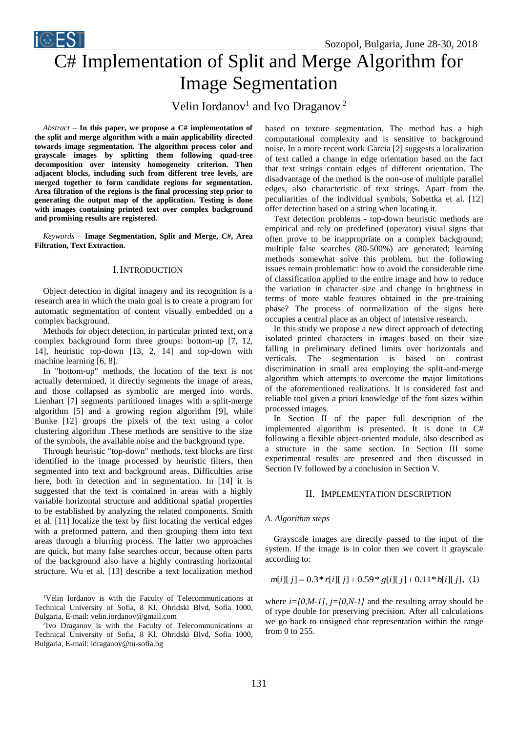

# C# Implementation of Split and Merge Algorithm for Image Segmentation

Velin Iordanov<sup>1</sup> and Ivo Draganov<sup>2</sup>

*Abstract –* **In this paper, we propose a C# implementation of the split and merge algorithm with a main applicability directed towards image segmentation. The algorithm process color and grayscale images by splitting them following quad-tree decomposition over intensity homogeneity criterion. Then adjacent blocks, including such from different tree levels, are merged together to form candidate regions for segmentation. Area filtration of the regions is the final processing step prior to generating the output map of the application. Testing is done with images containing printed text over complex background and promising results are registered.**

*Keywords –* **Image Segmentation, Split and Merge, C#, Area Filtration, Text Extraction.**

## I.INTRODUCTION

Object detection in digital imagery and its recognition is a research area in which the main goal is to create a program for automatic segmentation of content visually embedded on a complex background.

Methods for object detection, in particular printed text, on a complex background form three groups: bottom-up [7, 12, 14], heuristic top-down [13, 2, 14] and top-down with machine learning [6, 8].

In "bottom-up" methods, the location of the text is not actually determined, it directly segments the image of areas, and those collapsed as symbolic are merged into words. Lienhart [7] segments partitioned images with a split-merge algorithm [5] and a growing region algorithm [9], while Bunke [12] groups the pixels of the text using a color clustering algorithm .These methods are sensitive to the size of the symbols, the available noise and the background type.

Through heuristic "top-down" methods, text blocks are first identified in the image processed by heuristic filters, then segmented into text and background areas. Difficulties arise here, both in detection and in segmentation. In [14] it is suggested that the text is contained in areas with a highly variable horizontal structure and additional spatial properties to be established by analyzing the related components. Smith et al. [11] localize the text by first locating the vertical edges with a preformed pattern, and then grouping them into text areas through a blurring process. The latter two approaches are quick, but many false searches occur, because often parts of the background also have a highly contrasting horizontal structure. Wu et al. [13] describe a text localization method

<sup>1</sup>Velin Iordanov is with the Faculty of Telecommunications at Technical University of Sofia, 8 Kl. Ohridski Blvd, Sofia 1000, Bulgaria, E-mail: velin.iordanov@gmail.com

2 Ivo Draganov is with the Faculty of Telecommunications at Technical University of Sofia, 8 Kl. Ohridski Blvd, Sofia 1000, Bulgaria, E-mail: idraganov@tu-sofia.bg

based on texture segmentation. The method has a high computational complexity and is sensitive to background noise. In a more recent work Garcia [2] suggests a localization of text called a change in edge orientation based on the fact that text strings contain edges of different orientation. The disadvantage of the method is the non-use of multiple parallel edges, also characteristic of text strings. Apart from the peculiarities of the individual symbols, Sobettka et al. [12] offer detection based on a string when locating it.

Text detection problems - top-down heuristic methods are empirical and rely on predefined (operator) visual signs that often prove to be inappropriate on a complex background; multiple false searches (80-500%) are generated; learning methods somewhat solve this problem, but the following issues remain problematic: how to avoid the considerable time of classification applied to the entire image and how to reduce the variation in character size and change in brightness in terms of more stable features obtained in the pre-training phase? The process of normalization of the signs here occupies a central place as an object of intensive research.

In this study we propose a new direct approach of detecting isolated printed characters in images based on their size falling in preliminary defined limits over horizontals and verticals. The segmentation is based on contrast discrimination in small area employing the split-and-merge algorithm which attempts to overcome the major limitations of the aforementioned realizations. It is considered fast and reliable tool given a priori knowledge of the font sizes within processed images.

In Section II of the paper full description of the implemented algorithm is presented. It is done in C# following a flexible object-oriented module, also described as a structure in the same section. In Section III some experimental results are presented and then discussed in Section IV followed by a conclusion in Section V.

#### II. IMPLEMENTATION DESCRIPTION

#### *A. Algorithm steps*

Grayscale images are directly passed to the input of the system. If the image is in color then we covert it grayscale according to:

$$
m[i][j] = 0.3 * r[i][j] + 0.59 * g[i][j] + 0.11 * b[i][j], (1)
$$

where  $i=[0,M-1]$ ,  $j=[0,N-1]$  and the resulting array should be of type double for preserving precision. After all calculations we go back to unsigned char representation within the range from 0 to 255.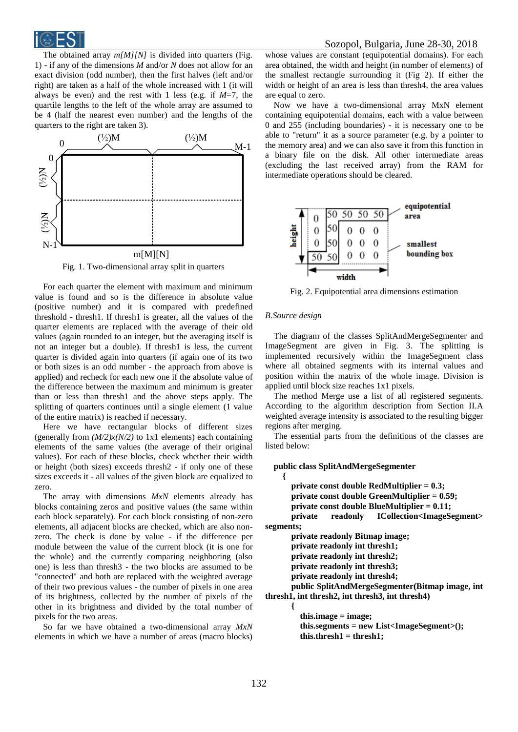

The obtained array *m[M][N]* is divided into quarters (Fig. 1) - if any of the dimensions *M* and/or *N* does not allow for an exact division (odd number), then the first halves (left and/or right) are taken as a half of the whole increased with 1 (it will always be even) and the rest with 1 less (e.g. if *M*=7, the quartile lengths to the left of the whole array are assumed to be 4 (half the nearest even number) and the lengths of the quarters to the right are taken 3).



Fig. 1. Two-dimensional array split in quarters

For each quarter the element with maximum and minimum value is found and so is the difference in absolute value (positive number) and it is compared with predefined threshold - thresh1. If thresh1 is greater, all the values of the quarter elements are replaced with the average of their old values (again rounded to an integer, but the averaging itself is not an integer but a double). If thresh1 is less, the current quarter is divided again into quarters (if again one of its two or both sizes is an odd number - the approach from above is applied) and recheck for each new one if the absolute value of the difference between the maximum and minimum is greater than or less than thresh1 and the above steps apply. The splitting of quarters continues until a single element (1 value of the entire matrix) is reached if necessary.

Here we have rectangular blocks of different sizes (generally from  $(M/2)x(N/2)$  to 1x1 elements) each containing elements of the same values (the average of their original values). For each of these blocks, check whether their width or height (both sizes) exceeds thresh2 - if only one of these sizes exceeds it - all values of the given block are equalized to zero.

The array with dimensions *MxN* elements already has blocks containing zeros and positive values (the same within each block separately). For each block consisting of non-zero elements, all adjacent blocks are checked, which are also nonzero. The check is done by value - if the difference per module between the value of the current block (it is one for the whole) and the currently comparing neighboring (also one) is less than thresh3 - the two blocks are assumed to be "connected" and both are replaced with the weighted average of their two previous values - the number of pixels in one area of its brightness, collected by the number of pixels of the other in its brightness and divided by the total number of pixels for the two areas.

So far we have obtained a two-dimensional array *MxN* elements in which we have a number of areas (macro blocks) whose values are constant (equipotential domains). For each area obtained, the width and height (in number of elements) of the smallest rectangle surrounding it (Fig 2). If either the width or height of an area is less than thresh4, the area values are equal to zero.

Now we have a two-dimensional array MxN element containing equipotential domains, each with a value between 0 and 255 (including boundaries) - it is necessary one to be able to "return" it as a source parameter (e.g. by a pointer to the memory area) and we can also save it from this function in a binary file on the disk. All other intermediate areas (excluding the last received array) from the RAM for intermediate operations should be cleared.



Fig. 2. Equipotential area dimensions estimation

#### *B.Source design*

The diagram of the classes SplitAndMergeSegmenter and ImageSegment are given in Fig. 3. The splitting is implemented recursively within the ImageSegment class where all obtained segments with its internal values and position within the matrix of the whole image. Division is applied until block size reaches 1x1 pixels.

The method Merge use a list of all registered segments. According to the algorithm description from Section II.A weighted average intensity is associated to the resulting bigger regions after merging.

The essential parts from the definitions of the classes are listed below:

## **public class SplitAndMergeSegmenter**

 **{ private const double RedMultiplier = 0.3; private const double GreenMultiplier = 0.59; private const double BlueMultiplier = 0.11; private readonly ICollection<ImageSegment> segments; private readonly Bitmap image; private readonly int thresh1; private readonly int thresh2; private readonly int thresh3; private readonly int thresh4; public SplitAndMergeSegmenter(Bitmap image, int thresh1, int thresh2, int thresh3, int thresh4) {**

> **this.image = image; this.segments = new List<ImageSegment>(); this.thresh1 = thresh1;**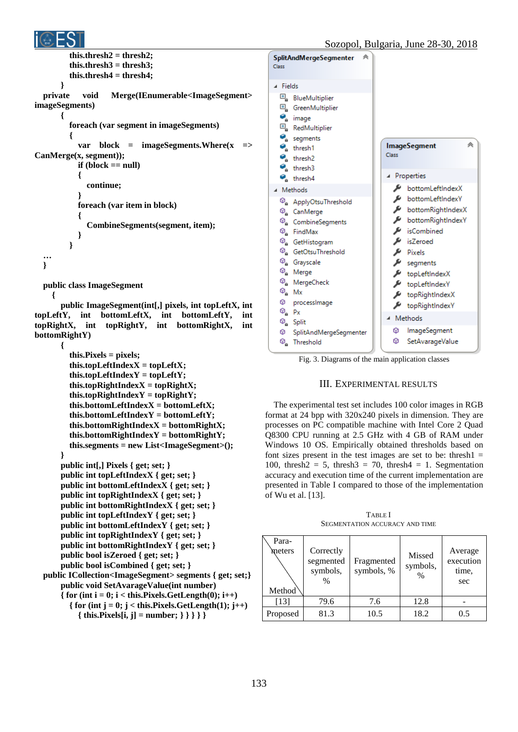

```
 this.thresh2 = thresh2;
         this.thresh3 = thresh3;
         this.thresh4 = thresh4;
       }
  private void Merge(IEnumerable<ImageSegment> 
imageSegments)
       {
         foreach (var segment in imageSegments)
   {
           var block = imageSegments.Where(x => 
CanMerge(x, segment));
           if (block == null)
   {
             continue;
   }
           foreach (var item in block)
   {
             CombineSegments(segment, item);
   }
         }
  …
  }
  public class ImageSegment
     {
```
 **public ImageSegment(int[,] pixels, int topLeftX, int topLeftY, int bottomLeftX, int bottomLeftY, int topRightX, int topRightY, int bottomRightX, int bottomRightY)**

```
 {
        this.Pixels = pixels;
        this.topLeftIndexX = topLeftX;
        this.topLeftIndexY = topLeftY;
        this.topRightIndexX = topRightX;
        this.topRightIndexY = topRightY;
        this.bottomLeftIndexX = bottomLeftX;
        this.bottomLeftIndexY = bottomLeftY;
        this.bottomRightIndexX = bottomRightX;
        this.bottomRightIndexY = bottomRightY;
        this.segments = new List<ImageSegment>();
     }
     public int[,] Pixels { get; set; }
     public int topLeftIndexX { get; set; }
     public int bottomLeftIndexX { get; set; }
     public int topRightIndexX { get; set; }
     public int bottomRightIndexX { get; set; }
     public int topLeftIndexY { get; set; }
     public int bottomLeftIndexY { get; set; }
     public int topRightIndexY { get; set; }
     public int bottomRightIndexY { get; set; }
     public bool isZeroed { get; set; }
     public bool isCombined { get; set; }
public ICollection<ImageSegment> segments { get; set;}
     public void SetAvarageValue(int number)
    \{ for (int i = 0; i < this.Pixels.GetLength(0); i++)
       \{ for (int j = 0; j < this.Pixels.GetLength(1); j++)
          { this.Pixels[i, j] = number; } } } } }
```


Fig. 3. Diagrams of the main application classes

# III. EXPERIMENTAL RESULTS

The experimental test set includes 100 color images in RGB format at 24 bpp with 320x240 pixels in dimension. They are processes on PC compatible machine with Intel Core 2 Quad Q8300 CPU running at 2.5 GHz with 4 GB of RAM under Windows 10 OS. Empirically obtained thresholds based on font sizes present in the test images are set to be: thresh $1 =$ 100, thresh $2 = 5$ , thresh $3 = 70$ , thresh $4 = 1$ . Segmentation accuracy and execution time of the current implementation are presented in Table I compared to those of the implementation of Wu et al. [13].

TABLE I SEGMENTATION ACCURACY AND TIME

| Para-<br>meters<br>Method <sup>®</sup> | Correctly<br>segmented<br>symbols,<br>$\%$ | Fragmented<br>symbols, % | Missed<br>symbols,<br>$\%$ | Average<br>execution<br>time,<br>sec |
|----------------------------------------|--------------------------------------------|--------------------------|----------------------------|--------------------------------------|
| [13]                                   | 79.6                                       | 7.6                      | 12.8                       |                                      |
| Proposed                               | 81.3                                       | 10.5                     | 18.2                       | 0.5                                  |